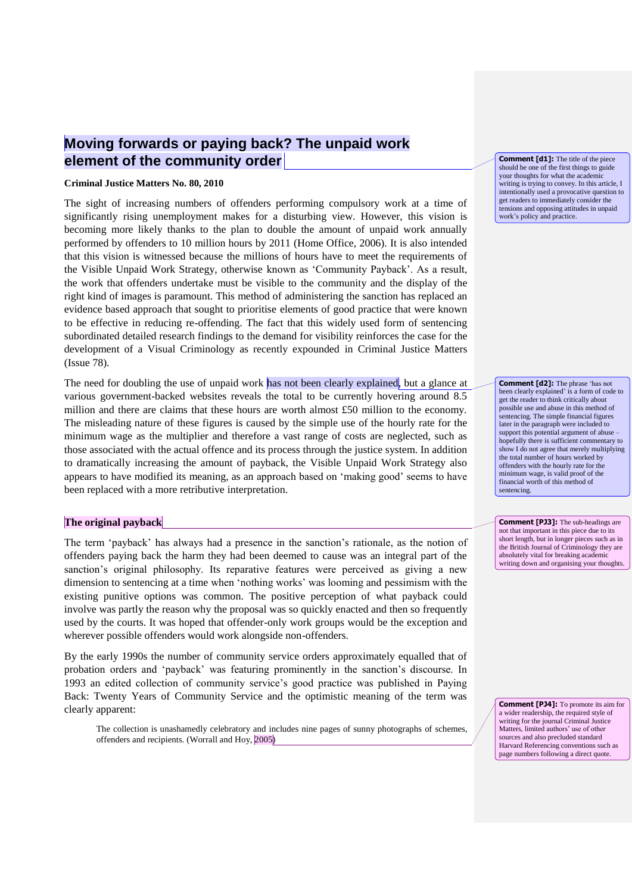# **Moving forwards or paying back? The unpaid work element of the community order**

#### **Criminal Justice Matters No. 80, 2010**

The sight of increasing numbers of offenders performing compulsory work at a time of significantly rising unemployment makes for a disturbing view. However, this vision is becoming more likely thanks to the plan to double the amount of unpaid work annually performed by offenders to 10 million hours by 2011 (Home Office, 2006). It is also intended that this vision is witnessed because the millions of hours have to meet the requirements of the Visible Unpaid Work Strategy, otherwise known as 'Community Payback'. As a result, the work that offenders undertake must be visible to the community and the display of the right kind of images is paramount. This method of administering the sanction has replaced an evidence based approach that sought to prioritise elements of good practice that were known to be effective in reducing re-offending. The fact that this widely used form of sentencing subordinated detailed research findings to the demand for visibility reinforces the case for the development of a Visual Criminology as recently expounded in Criminal Justice Matters (Issue 78).

The need for doubling the use of unpaid work has not been clearly explained, but a glance at various government-backed websites reveals the total to be currently hovering around 8.5 million and there are claims that these hours are worth almost £50 million to the economy. The misleading nature of these figures is caused by the simple use of the hourly rate for the minimum wage as the multiplier and therefore a vast range of costs are neglected, such as those associated with the actual offence and its process through the justice system. In addition to dramatically increasing the amount of payback, the Visible Unpaid Work Strategy also appears to have modified its meaning, as an approach based on 'making good' seems to have been replaced with a more retributive interpretation.

### **The original payback**

The term 'payback' has always had a presence in the sanction's rationale, as the notion of offenders paying back the harm they had been deemed to cause was an integral part of the sanction's original philosophy. Its reparative features were perceived as giving a new dimension to sentencing at a time when 'nothing works' was looming and pessimism with the existing punitive options was common. The positive perception of what payback could involve was partly the reason why the proposal was so quickly enacted and then so frequently used by the courts. It was hoped that offender-only work groups would be the exception and wherever possible offenders would work alongside non-offenders.

By the early 1990s the number of community service orders approximately equalled that of probation orders and 'payback' was featuring prominently in the sanction's discourse. In 1993 an edited collection of community service's good practice was published in Paying Back: Twenty Years of Community Service and the optimistic meaning of the term was clearly apparent:

The collection is unashamedly celebratory and includes nine pages of sunny photographs of schemes, offenders and recipients. (Worrall and Hoy, 2005)

**Comment [d1]:** The title of the piece should be one of the first things to guide your thoughts for what the academic writing is trying to convey. In this article, I intentionally used a provocative question to get readers to immediately consider the tensions and opposing attitudes in unpaid work's policy and practice.

**Comment [d2]:** The phrase 'has not been clearly explained' is a form of code to get the reader to think critically about possible use and abuse in this method of sentencing. The simple financial figures later in the paragraph were included to support this potential argument of abuse – hopefully there is sufficient commentary to show I do not agree that merely multiplying the total number of hours worked by offenders with the hourly rate for the minimum wage, is valid proof of the financial worth of this method of sentencing.

**Comment [PJ3]:** The sub-headings are not that important in this piece due to its short length, but in longer pieces such as in the British Journal of Criminology they are absolutely vital for breaking academic writing down and organising your thoughts.

**Comment [PJ4]:** To promote its aim for a wider readership, the required style of writing for the journal Criminal Justice Matters, limited authors' use of other sources and also precluded standard Harvard Referencing conventions such as page numbers following a direct quote.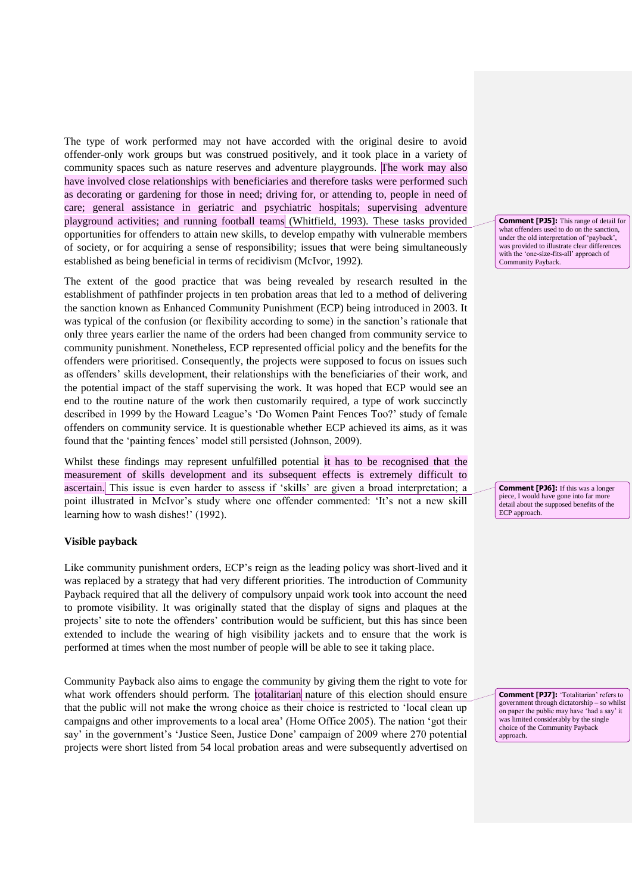The type of work performed may not have accorded with the original desire to avoid offender-only work groups but was construed positively, and it took place in a variety of community spaces such as nature reserves and adventure playgrounds. The work may also have involved close relationships with beneficiaries and therefore tasks were performed such as decorating or gardening for those in need; driving for, or attending to, people in need of care; general assistance in geriatric and psychiatric hospitals; supervising adventure playground activities; and running football teams (Whitfield, 1993). These tasks provided opportunities for offenders to attain new skills, to develop empathy with vulnerable members of society, or for acquiring a sense of responsibility; issues that were being simultaneously established as being beneficial in terms of recidivism (McIvor, 1992).

The extent of the good practice that was being revealed by research resulted in the establishment of pathfinder projects in ten probation areas that led to a method of delivering the sanction known as Enhanced Community Punishment (ECP) being introduced in 2003. It was typical of the confusion (or flexibility according to some) in the sanction's rationale that only three years earlier the name of the orders had been changed from community service to community punishment. Nonetheless, ECP represented official policy and the benefits for the offenders were prioritised. Consequently, the projects were supposed to focus on issues such as offenders' skills development, their relationships with the beneficiaries of their work, and the potential impact of the staff supervising the work. It was hoped that ECP would see an end to the routine nature of the work then customarily required, a type of work succinctly described in 1999 by the Howard League's 'Do Women Paint Fences Too?' study of female offenders on community service. It is questionable whether ECP achieved its aims, as it was found that the 'painting fences' model still persisted (Johnson, 2009).

Whilst these findings may represent unfulfilled potential it has to be recognised that the measurement of skills development and its subsequent effects is extremely difficult to ascertain. This issue is even harder to assess if 'skills' are given a broad interpretation; a point illustrated in McIvor's study where one offender commented: 'It's not a new skill learning how to wash dishes!' (1992).

#### **Visible payback**

Like community punishment orders, ECP's reign as the leading policy was short-lived and it was replaced by a strategy that had very different priorities. The introduction of Community Payback required that all the delivery of compulsory unpaid work took into account the need to promote visibility. It was originally stated that the display of signs and plaques at the projects' site to note the offenders' contribution would be sufficient, but this has since been extended to include the wearing of high visibility jackets and to ensure that the work is performed at times when the most number of people will be able to see it taking place.

Community Payback also aims to engage the community by giving them the right to vote for what work offenders should perform. The totalitarian nature of this election should ensure that the public will not make the wrong choice as their choice is restricted to 'local clean up campaigns and other improvements to a local area' (Home Office 2005). The nation 'got their say' in the government's 'Justice Seen, Justice Done' campaign of 2009 where 270 potential projects were short listed from 54 local probation areas and were subsequently advertised on **Comment [PJ5]:** This range of detail for what offenders used to do on the sanction. under the old interpretation of 'payback', was provided to illustrate clear differences with the 'one-size-fits-all' approach of Community Payback.

**Comment [PJ6]:** If this was a longer piece, I would have gone into far more detail about the supposed benefits of the ECP approach.

**Comment [PJ7]:** 'Totalitarian' refers to government through dictatorship – so whilst on paper the public may have 'had a say' it was limited considerably by the single choice of the Community Payback approach.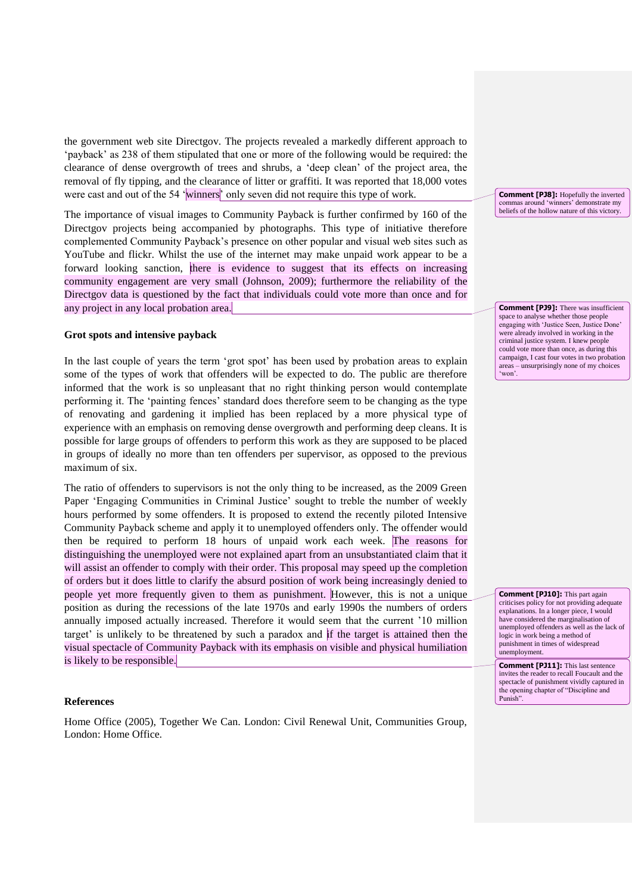the government web site Directgov. The projects revealed a markedly different approach to 'payback' as 238 of them stipulated that one or more of the following would be required: the clearance of dense overgrowth of trees and shrubs, a 'deep clean' of the project area, the removal of fly tipping, and the clearance of litter or graffiti. It was reported that 18,000 votes were cast and out of the 54 'winners' only seven did not require this type of work.

The importance of visual images to Community Payback is further confirmed by 160 of the Directgov projects being accompanied by photographs. This type of initiative therefore complemented Community Payback's presence on other popular and visual web sites such as YouTube and flickr. Whilst the use of the internet may make unpaid work appear to be a forward looking sanction, there is evidence to suggest that its effects on increasing community engagement are very small (Johnson, 2009); furthermore the reliability of the Directgov data is questioned by the fact that individuals could vote more than once and for any project in any local probation area.

## **Grot spots and intensive payback**

In the last couple of years the term 'grot spot' has been used by probation areas to explain some of the types of work that offenders will be expected to do. The public are therefore informed that the work is so unpleasant that no right thinking person would contemplate performing it. The 'painting fences' standard does therefore seem to be changing as the type of renovating and gardening it implied has been replaced by a more physical type of experience with an emphasis on removing dense overgrowth and performing deep cleans. It is possible for large groups of offenders to perform this work as they are supposed to be placed in groups of ideally no more than ten offenders per supervisor, as opposed to the previous maximum of six.

The ratio of offenders to supervisors is not the only thing to be increased, as the 2009 Green Paper 'Engaging Communities in Criminal Justice' sought to treble the number of weekly hours performed by some offenders. It is proposed to extend the recently piloted Intensive Community Payback scheme and apply it to unemployed offenders only. The offender would then be required to perform 18 hours of unpaid work each week. The reasons for distinguishing the unemployed were not explained apart from an unsubstantiated claim that it will assist an offender to comply with their order. This proposal may speed up the completion of orders but it does little to clarify the absurd position of work being increasingly denied to people yet more frequently given to them as punishment. However, this is not a unique position as during the recessions of the late 1970s and early 1990s the numbers of orders annually imposed actually increased. Therefore it would seem that the current '10 million target' is unlikely to be threatened by such a paradox and if the target is attained then the visual spectacle of Community Payback with its emphasis on visible and physical humiliation is likely to be responsible.

#### **References**

Home Office (2005), Together We Can. London: Civil Renewal Unit, Communities Group, London: Home Office.

**Comment [PJ8]:** Hopefully the inverted commas around 'winners' demonstrate my beliefs of the hollow nature of this victory.

**Comment [PJ9]:** There was insufficient space to analyse whether those people engaging with 'Justice Seen, Justice Done' were already involved in working in the criminal justice system. I knew people could vote more than once, as during this campaign, I cast four votes in two probation areas – unsurprisingly none of my choices 'won'.

**Comment [PJ10]:** This part again criticises policy for not providing adequate explanations. In a longer piece, I would have considered the marginalisation of unemployed offenders as well as the lack of logic in work being a method of punishment in times of widespread unemployment.

**Comment [PJ11]:** This last sentence invites the reader to recall Foucault and the spectacle of punishment vividly captured in the opening chapter of "Discipline and Punish".